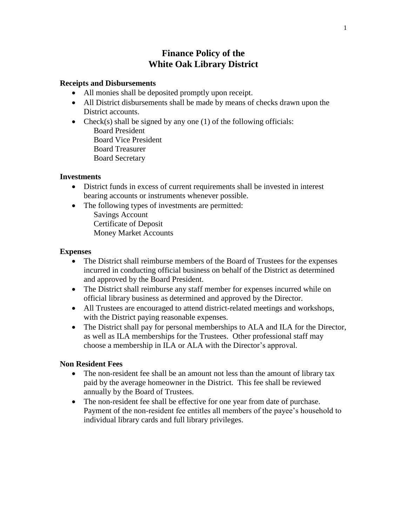# **Finance Policy of the White Oak Library District**

### **Receipts and Disbursements**

- All monies shall be deposited promptly upon receipt.
- All District disbursements shall be made by means of checks drawn upon the District accounts.
- Check(s) shall be signed by any one (1) of the following officials: Board President Board Vice President
	- Board Treasurer
	- Board Secretary

### **Investments**

- District funds in excess of current requirements shall be invested in interest bearing accounts or instruments whenever possible.
- The following types of investments are permitted: Savings Account
	- Certificate of Deposit
	- Money Market Accounts

### **Expenses**

- The District shall reimburse members of the Board of Trustees for the expenses incurred in conducting official business on behalf of the District as determined and approved by the Board President.
- The District shall reimburse any staff member for expenses incurred while on official library business as determined and approved by the Director.
- All Trustees are encouraged to attend district-related meetings and workshops, with the District paying reasonable expenses.
- The District shall pay for personal memberships to ALA and ILA for the Director, as well as ILA memberships for the Trustees. Other professional staff may choose a membership in ILA or ALA with the Director's approval.

## **Non Resident Fees**

- The non-resident fee shall be an amount not less than the amount of library tax paid by the average homeowner in the District. This fee shall be reviewed annually by the Board of Trustees.
- The non-resident fee shall be effective for one year from date of purchase. Payment of the non-resident fee entitles all members of the payee's household to individual library cards and full library privileges.